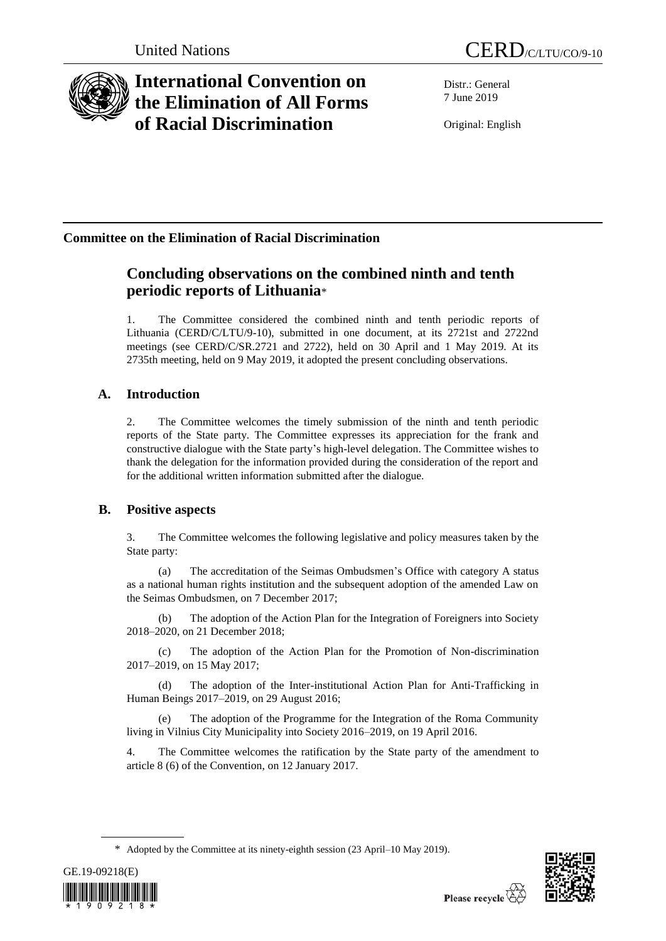

# **International Convention on the Elimination of All Forms of Racial Discrimination**

United Nations CERD/C/LTU/CO/9-10

Distr.: General 7 June 2019

Original: English

## **Committee on the Elimination of Racial Discrimination**

## **Concluding observations on the combined ninth and tenth periodic reports of Lithuania**\*

The Committee considered the combined ninth and tenth periodic reports of Lithuania (CERD/C/LTU/9-10), submitted in one document, at its 2721st and 2722nd meetings (see CERD/C/SR.2721 and 2722), held on 30 April and 1 May 2019. At its 2735th meeting, held on 9 May 2019, it adopted the present concluding observations.

## **A. Introduction**

2. The Committee welcomes the timely submission of the ninth and tenth periodic reports of the State party. The Committee expresses its appreciation for the frank and constructive dialogue with the State party's high-level delegation. The Committee wishes to thank the delegation for the information provided during the consideration of the report and for the additional written information submitted after the dialogue.

### **B. Positive aspects**

3. The Committee welcomes the following legislative and policy measures taken by the State party:

(a) The accreditation of the Seimas Ombudsmen's Office with category A status as a national human rights institution and the subsequent adoption of the amended Law on the Seimas Ombudsmen, on 7 December 2017;

(b) The adoption of the Action Plan for the Integration of Foreigners into Society 2018–2020, on 21 December 2018;

(c) The adoption of the Action Plan for the Promotion of Non-discrimination 2017–2019, on 15 May 2017;

(d) The adoption of the Inter-institutional Action Plan for Anti-Trafficking in Human Beings 2017–2019, on 29 August 2016;

The adoption of the Programme for the Integration of the Roma Community living in Vilnius City Municipality into Society 2016–2019, on 19 April 2016.

4. The Committee welcomes the ratification by the State party of the amendment to article 8 (6) of the Convention, on 12 January 2017.

<sup>\*</sup> Adopted by the Committee at its ninety-eighth session (23 April–10 May 2019).



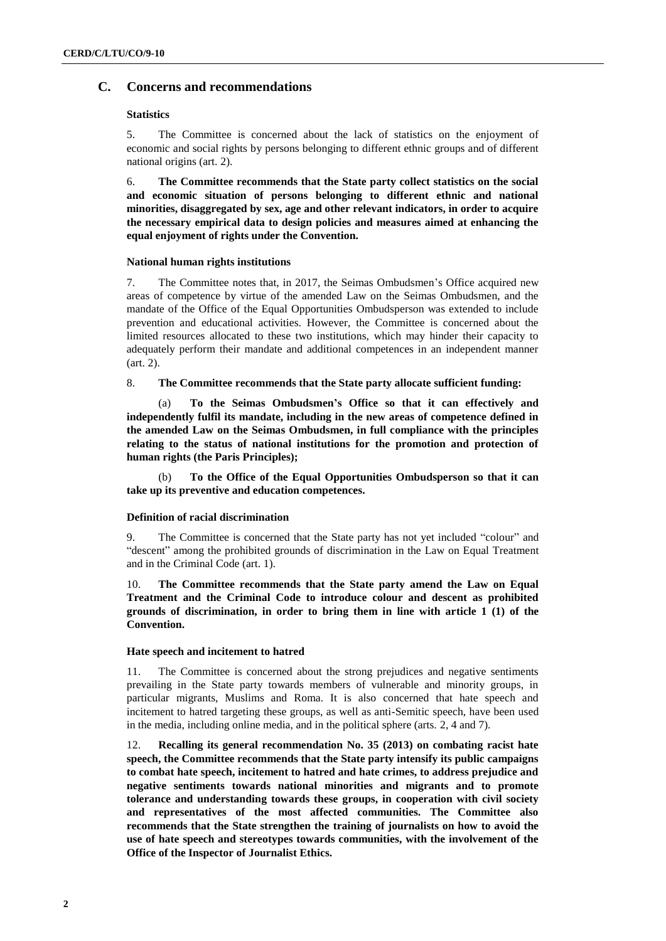#### **C. Concerns and recommendations**

#### **Statistics**

5. The Committee is concerned about the lack of statistics on the enjoyment of economic and social rights by persons belonging to different ethnic groups and of different national origins (art. 2).

6. **The Committee recommends that the State party collect statistics on the social and economic situation of persons belonging to different ethnic and national minorities, disaggregated by sex, age and other relevant indicators, in order to acquire the necessary empirical data to design policies and measures aimed at enhancing the equal enjoyment of rights under the Convention.**

#### **National human rights institutions**

7. The Committee notes that, in 2017, the Seimas Ombudsmen's Office acquired new areas of competence by virtue of the amended Law on the Seimas Ombudsmen, and the mandate of the Office of the Equal Opportunities Ombudsperson was extended to include prevention and educational activities. However, the Committee is concerned about the limited resources allocated to these two institutions, which may hinder their capacity to adequately perform their mandate and additional competences in an independent manner (art. 2).

8. **The Committee recommends that the State party allocate sufficient funding:**

(a) **To the Seimas Ombudsmen's Office so that it can effectively and independently fulfil its mandate, including in the new areas of competence defined in the amended Law on the Seimas Ombudsmen, in full compliance with the principles relating to the status of national institutions for the promotion and protection of human rights (the Paris Principles);**

(b) **To the Office of the Equal Opportunities Ombudsperson so that it can take up its preventive and education competences.** 

#### **Definition of racial discrimination**

9. The Committee is concerned that the State party has not yet included "colour" and "descent" among the prohibited grounds of discrimination in the Law on Equal Treatment and in the Criminal Code (art. 1).

10. **The Committee recommends that the State party amend the Law on Equal Treatment and the Criminal Code to introduce colour and descent as prohibited grounds of discrimination, in order to bring them in line with article 1 (1) of the Convention.** 

#### **Hate speech and incitement to hatred**

11. The Committee is concerned about the strong prejudices and negative sentiments prevailing in the State party towards members of vulnerable and minority groups, in particular migrants, Muslims and Roma. It is also concerned that hate speech and incitement to hatred targeting these groups, as well as anti-Semitic speech, have been used in the media, including online media, and in the political sphere (arts. 2, 4 and 7).

12. **Recalling its general recommendation No. 35 (2013) on combating racist hate speech, the Committee recommends that the State party intensify its public campaigns to combat hate speech, incitement to hatred and hate crimes, to address prejudice and negative sentiments towards national minorities and migrants and to promote tolerance and understanding towards these groups, in cooperation with civil society and representatives of the most affected communities. The Committee also recommends that the State strengthen the training of journalists on how to avoid the use of hate speech and stereotypes towards communities, with the involvement of the Office of the Inspector of Journalist Ethics.**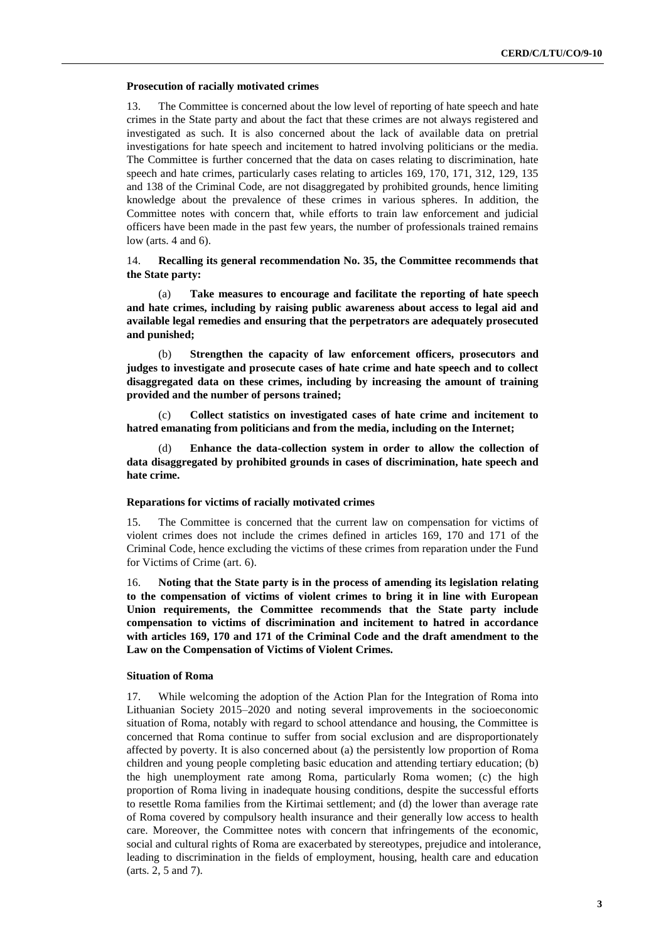#### **Prosecution of racially motivated crimes**

13. The Committee is concerned about the low level of reporting of hate speech and hate crimes in the State party and about the fact that these crimes are not always registered and investigated as such. It is also concerned about the lack of available data on pretrial investigations for hate speech and incitement to hatred involving politicians or the media. The Committee is further concerned that the data on cases relating to discrimination, hate speech and hate crimes, particularly cases relating to articles 169, 170, 171, 312, 129, 135 and 138 of the Criminal Code, are not disaggregated by prohibited grounds, hence limiting knowledge about the prevalence of these crimes in various spheres. In addition, the Committee notes with concern that, while efforts to train law enforcement and judicial officers have been made in the past few years, the number of professionals trained remains low (arts. 4 and 6).

14. **Recalling its general recommendation No. 35, the Committee recommends that the State party:**

(a) **Take measures to encourage and facilitate the reporting of hate speech and hate crimes, including by raising public awareness about access to legal aid and available legal remedies and ensuring that the perpetrators are adequately prosecuted and punished;**

(b) **Strengthen the capacity of law enforcement officers, prosecutors and judges to investigate and prosecute cases of hate crime and hate speech and to collect disaggregated data on these crimes, including by increasing the amount of training provided and the number of persons trained;**

(c) **Collect statistics on investigated cases of hate crime and incitement to hatred emanating from politicians and from the media, including on the Internet;**

Enhance the data-collection system in order to allow the collection of **data disaggregated by prohibited grounds in cases of discrimination, hate speech and hate crime.**

#### **Reparations for victims of racially motivated crimes**

15. The Committee is concerned that the current law on compensation for victims of violent crimes does not include the crimes defined in articles 169, 170 and 171 of the Criminal Code, hence excluding the victims of these crimes from reparation under the Fund for Victims of Crime (art. 6).

16. **Noting that the State party is in the process of amending its legislation relating to the compensation of victims of violent crimes to bring it in line with European Union requirements, the Committee recommends that the State party include compensation to victims of discrimination and incitement to hatred in accordance with articles 169, 170 and 171 of the Criminal Code and the draft amendment to the Law on the Compensation of Victims of Violent Crimes.**

#### **Situation of Roma**

17. While welcoming the adoption of the Action Plan for the Integration of Roma into Lithuanian Society 2015–2020 and noting several improvements in the socioeconomic situation of Roma, notably with regard to school attendance and housing, the Committee is concerned that Roma continue to suffer from social exclusion and are disproportionately affected by poverty. It is also concerned about (a) the persistently low proportion of Roma children and young people completing basic education and attending tertiary education; (b) the high unemployment rate among Roma, particularly Roma women; (c) the high proportion of Roma living in inadequate housing conditions, despite the successful efforts to resettle Roma families from the Kirtimai settlement; and (d) the lower than average rate of Roma covered by compulsory health insurance and their generally low access to health care. Moreover, the Committee notes with concern that infringements of the economic, social and cultural rights of Roma are exacerbated by stereotypes, prejudice and intolerance, leading to discrimination in the fields of employment, housing, health care and education (arts. 2, 5 and 7).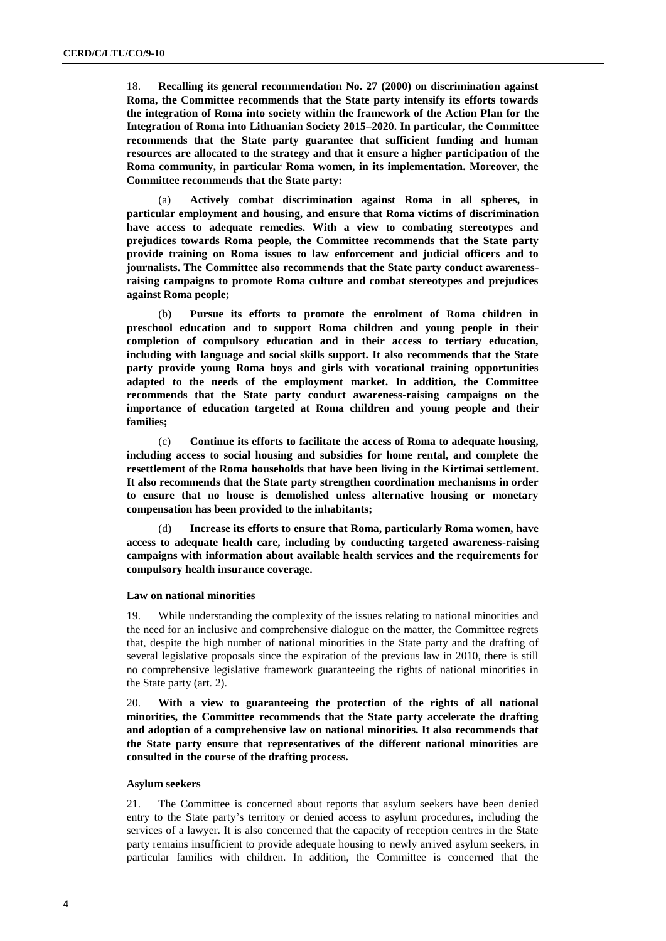18. **Recalling its general recommendation No. 27 (2000) on discrimination against Roma, the Committee recommends that the State party intensify its efforts towards the integration of Roma into society within the framework of the Action Plan for the Integration of Roma into Lithuanian Society 2015–2020. In particular, the Committee recommends that the State party guarantee that sufficient funding and human resources are allocated to the strategy and that it ensure a higher participation of the Roma community, in particular Roma women, in its implementation. Moreover, the Committee recommends that the State party:**

(a) **Actively combat discrimination against Roma in all spheres, in particular employment and housing, and ensure that Roma victims of discrimination have access to adequate remedies. With a view to combating stereotypes and prejudices towards Roma people, the Committee recommends that the State party provide training on Roma issues to law enforcement and judicial officers and to journalists. The Committee also recommends that the State party conduct awarenessraising campaigns to promote Roma culture and combat stereotypes and prejudices against Roma people;**

(b) **Pursue its efforts to promote the enrolment of Roma children in preschool education and to support Roma children and young people in their completion of compulsory education and in their access to tertiary education, including with language and social skills support. It also recommends that the State party provide young Roma boys and girls with vocational training opportunities adapted to the needs of the employment market. In addition, the Committee recommends that the State party conduct awareness-raising campaigns on the importance of education targeted at Roma children and young people and their families;**

(c) **Continue its efforts to facilitate the access of Roma to adequate housing, including access to social housing and subsidies for home rental, and complete the resettlement of the Roma households that have been living in the Kirtimai settlement. It also recommends that the State party strengthen coordination mechanisms in order to ensure that no house is demolished unless alternative housing or monetary compensation has been provided to the inhabitants;**

(d) **Increase its efforts to ensure that Roma, particularly Roma women, have access to adequate health care, including by conducting targeted awareness-raising campaigns with information about available health services and the requirements for compulsory health insurance coverage.**

#### **Law on national minorities**

19. While understanding the complexity of the issues relating to national minorities and the need for an inclusive and comprehensive dialogue on the matter, the Committee regrets that, despite the high number of national minorities in the State party and the drafting of several legislative proposals since the expiration of the previous law in 2010, there is still no comprehensive legislative framework guaranteeing the rights of national minorities in the State party (art. 2).

20. **With a view to guaranteeing the protection of the rights of all national minorities, the Committee recommends that the State party accelerate the drafting and adoption of a comprehensive law on national minorities. It also recommends that the State party ensure that representatives of the different national minorities are consulted in the course of the drafting process.**

#### **Asylum seekers**

21. The Committee is concerned about reports that asylum seekers have been denied entry to the State party's territory or denied access to asylum procedures, including the services of a lawyer. It is also concerned that the capacity of reception centres in the State party remains insufficient to provide adequate housing to newly arrived asylum seekers, in particular families with children. In addition, the Committee is concerned that the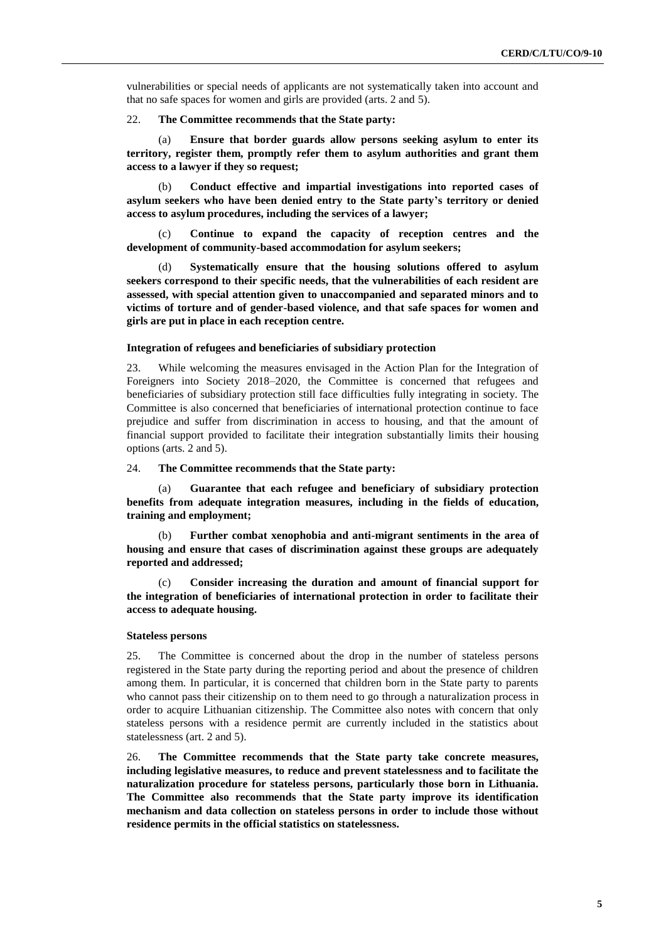vulnerabilities or special needs of applicants are not systematically taken into account and that no safe spaces for women and girls are provided (arts. 2 and 5).

#### 22. **The Committee recommends that the State party:**

(a) **Ensure that border guards allow persons seeking asylum to enter its territory, register them, promptly refer them to asylum authorities and grant them access to a lawyer if they so request;**

(b) **Conduct effective and impartial investigations into reported cases of asylum seekers who have been denied entry to the State party's territory or denied access to asylum procedures, including the services of a lawyer;**

(c) **Continue to expand the capacity of reception centres and the development of community-based accommodation for asylum seekers;**

**Systematically ensure that the housing solutions offered to asylum seekers correspond to their specific needs, that the vulnerabilities of each resident are assessed, with special attention given to unaccompanied and separated minors and to victims of torture and of gender-based violence, and that safe spaces for women and girls are put in place in each reception centre.**

#### **Integration of refugees and beneficiaries of subsidiary protection**

23. While welcoming the measures envisaged in the Action Plan for the Integration of Foreigners into Society 2018–2020, the Committee is concerned that refugees and beneficiaries of subsidiary protection still face difficulties fully integrating in society. The Committee is also concerned that beneficiaries of international protection continue to face prejudice and suffer from discrimination in access to housing, and that the amount of financial support provided to facilitate their integration substantially limits their housing options (arts. 2 and 5).

#### 24. **The Committee recommends that the State party:**

(a) **Guarantee that each refugee and beneficiary of subsidiary protection benefits from adequate integration measures, including in the fields of education, training and employment;** 

(b) **Further combat xenophobia and anti-migrant sentiments in the area of housing and ensure that cases of discrimination against these groups are adequately reported and addressed;**

(c) **Consider increasing the duration and amount of financial support for the integration of beneficiaries of international protection in order to facilitate their access to adequate housing.**

#### **Stateless persons**

25. The Committee is concerned about the drop in the number of stateless persons registered in the State party during the reporting period and about the presence of children among them. In particular, it is concerned that children born in the State party to parents who cannot pass their citizenship on to them need to go through a naturalization process in order to acquire Lithuanian citizenship. The Committee also notes with concern that only stateless persons with a residence permit are currently included in the statistics about statelessness (art. 2 and 5).

26. **The Committee recommends that the State party take concrete measures, including legislative measures, to reduce and prevent statelessness and to facilitate the naturalization procedure for stateless persons, particularly those born in Lithuania. The Committee also recommends that the State party improve its identification mechanism and data collection on stateless persons in order to include those without residence permits in the official statistics on statelessness.**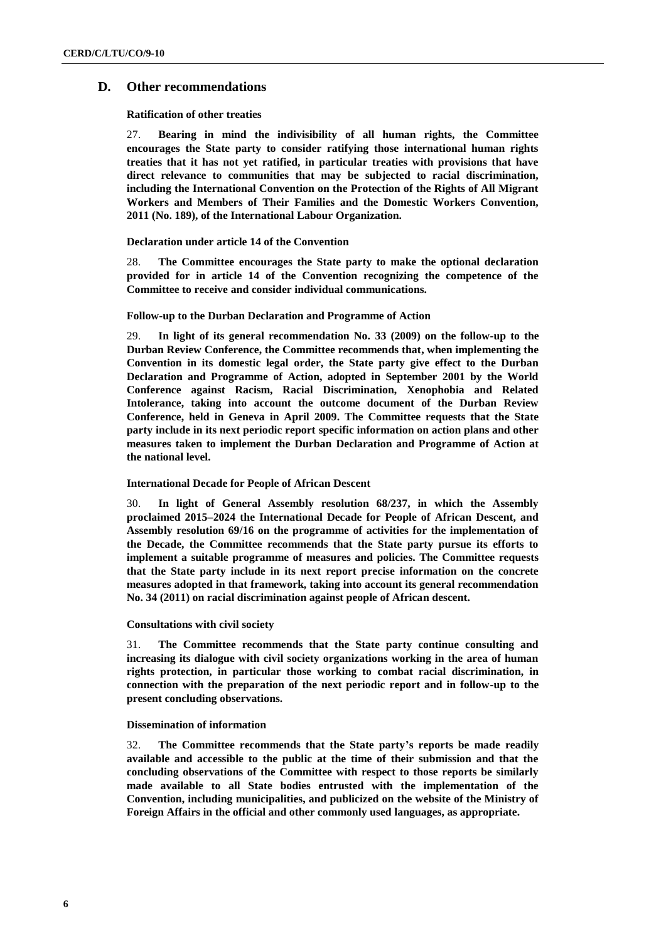#### **D. Other recommendations**

#### **Ratification of other treaties**

27. **Bearing in mind the indivisibility of all human rights, the Committee encourages the State party to consider ratifying those international human rights treaties that it has not yet ratified, in particular treaties with provisions that have direct relevance to communities that may be subjected to racial discrimination, including the International Convention on the Protection of the Rights of All Migrant Workers and Members of Their Families and the Domestic Workers Convention, 2011 (No. 189), of the International Labour Organization.** 

#### **Declaration under article 14 of the Convention**

28. **The Committee encourages the State party to make the optional declaration provided for in article 14 of the Convention recognizing the competence of the Committee to receive and consider individual communications.**

#### **Follow-up to the Durban Declaration and Programme of Action**

29. **In light of its general recommendation No. 33 (2009) on the follow-up to the Durban Review Conference, the Committee recommends that, when implementing the Convention in its domestic legal order, the State party give effect to the Durban Declaration and Programme of Action, adopted in September 2001 by the World Conference against Racism, Racial Discrimination, Xenophobia and Related Intolerance, taking into account the outcome document of the Durban Review Conference, held in Geneva in April 2009. The Committee requests that the State party include in its next periodic report specific information on action plans and other measures taken to implement the Durban Declaration and Programme of Action at the national level.** 

#### **International Decade for People of African Descent**

30. **In light of General Assembly resolution 68/237, in which the Assembly proclaimed 2015–2024 the International Decade for People of African Descent, and Assembly resolution 69/16 on the programme of activities for the implementation of the Decade, the Committee recommends that the State party pursue its efforts to implement a suitable programme of measures and policies. The Committee requests that the State party include in its next report precise information on the concrete measures adopted in that framework, taking into account its general recommendation No. 34 (2011) on racial discrimination against people of African descent.** 

#### **Consultations with civil society**

31. **The Committee recommends that the State party continue consulting and increasing its dialogue with civil society organizations working in the area of human rights protection, in particular those working to combat racial discrimination, in connection with the preparation of the next periodic report and in follow-up to the present concluding observations.**

#### **Dissemination of information**

32. **The Committee recommends that the State party's reports be made readily available and accessible to the public at the time of their submission and that the concluding observations of the Committee with respect to those reports be similarly made available to all State bodies entrusted with the implementation of the Convention, including municipalities, and publicized on the website of the Ministry of Foreign Affairs in the official and other commonly used languages, as appropriate.**